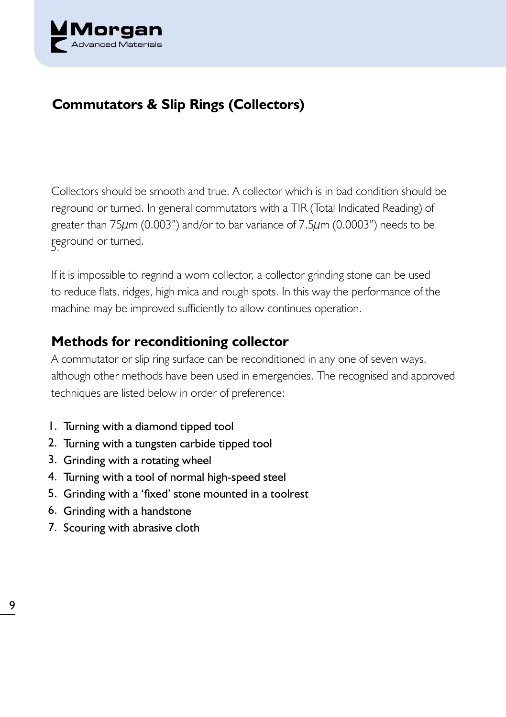

## **Commutators & Slip Rings (Collectors)**

5. reground or turned. Collectors should be smooth and true. A collector which is in bad condition should be reground or turned. In general commutators with a TIR (Total Indicated Reading) of greater than 75μm (0.003") and/or to bar variance of 7.5μm (0.0003") needs to be

If it is impossible to regrind a worn collector, a collector grinding stone can be used to reduce flats, ridges, high mica and rough spots. In this way the performance of the machine may be improved sufficiently to allow continues operation.

## **Methods for reconditioning collector**

A commutator or slip ring surface can be reconditioned in any one of seven ways, although other methods have been used in emergencies. The recognised and approved techniques are listed below in order of preference:

- 1. Turning with a diamond tipped tool
- 2. Turning with a tungsten carbide tipped tool
- 3. Grinding with a rotating wheel
- 4. Turning with a tool of normal high-speed steel
- 5. Grinding with a 'fixed' stone mounted in a toolrest
- 6. Grinding with a handstone
- 7. Scouring with abrasive cloth